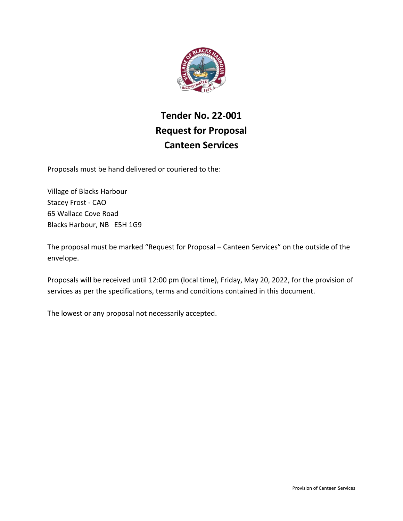

# **Tender No. 22-001 Request for Proposal Canteen Services**

Proposals must be hand delivered or couriered to the:

Village of Blacks Harbour Stacey Frost - CAO 65 Wallace Cove Road Blacks Harbour, NB E5H 1G9

The proposal must be marked "Request for Proposal – Canteen Services" on the outside of the envelope.

Proposals will be received until 12:00 pm (local time), Friday, May 20, 2022, for the provision of services as per the specifications, terms and conditions contained in this document.

The lowest or any proposal not necessarily accepted.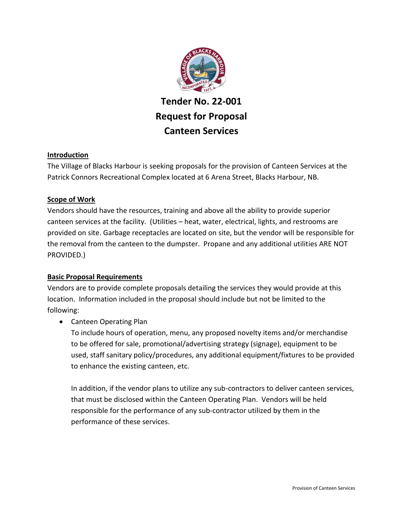

# **Tender No. 22-001 Request for Proposal Canteen Services**

# **Introduction**

The Village of Blacks Harbour is seeking proposals for the provision of Canteen Services at the Patrick Connors Recreational Complex located at 6 Arena Street, Blacks Harbour, NB.

# **Scope of Work**

Vendors should have the resources, training and above all the ability to provide superior canteen services at the facility. (Utilities – heat, water, electrical, lights, and restrooms are provided on site. Garbage receptacles are located on site, but the vendor will be responsible for the removal from the canteen to the dumpster. Propane and any additional utilities ARE NOT PROVIDED.)

# **Basic Proposal Requirements**

Vendors are to provide complete proposals detailing the services they would provide at this location. Information included in the proposal should include but not be limited to the following:

Canteen Operating Plan

To include hours of operation, menu, any proposed novelty items and/or merchandise to be offered for sale, promotional/advertising strategy (signage), equipment to be used, staff sanitary policy/procedures, any additional equipment/fixtures to be provided to enhance the existing canteen, etc.

In addition, if the vendor plans to utilize any sub-contractors to deliver canteen services, that must be disclosed within the Canteen Operating Plan. Vendors will be held responsible for the performance of any sub-contractor utilized by them in the performance of these services.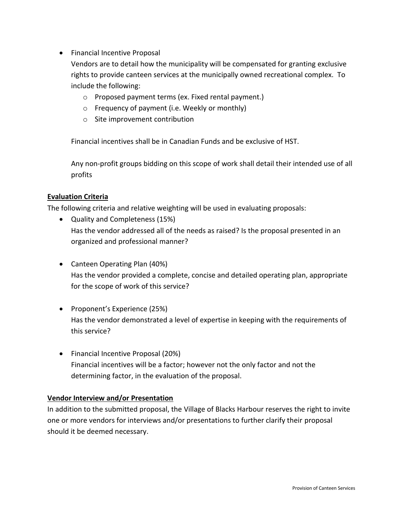• Financial Incentive Proposal

Vendors are to detail how the municipality will be compensated for granting exclusive rights to provide canteen services at the municipally owned recreational complex. To include the following:

- o Proposed payment terms (ex. Fixed rental payment.)
- o Frequency of payment (i.e. Weekly or monthly)
- o Site improvement contribution

Financial incentives shall be in Canadian Funds and be exclusive of HST.

Any non-profit groups bidding on this scope of work shall detail their intended use of all profits

## **Evaluation Criteria**

The following criteria and relative weighting will be used in evaluating proposals:

- Quality and Completeness (15%) Has the vendor addressed all of the needs as raised? Is the proposal presented in an organized and professional manner?
- Canteen Operating Plan (40%) Has the vendor provided a complete, concise and detailed operating plan, appropriate for the scope of work of this service?
- Proponent's Experience (25%) Has the vendor demonstrated a level of expertise in keeping with the requirements of this service?
- Financial Incentive Proposal (20%) Financial incentives will be a factor; however not the only factor and not the determining factor, in the evaluation of the proposal.

#### **Vendor Interview and/or Presentation**

In addition to the submitted proposal, the Village of Blacks Harbour reserves the right to invite one or more vendors for interviews and/or presentations to further clarify their proposal should it be deemed necessary.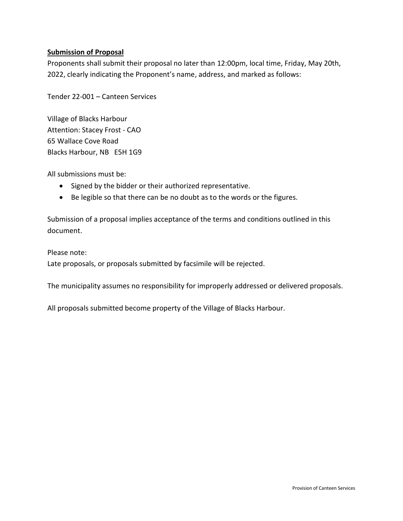## **Submission of Proposal**

Proponents shall submit their proposal no later than 12:00pm, local time, Friday, May 20th, 2022, clearly indicating the Proponent's name, address, and marked as follows:

Tender 22-001 – Canteen Services

Village of Blacks Harbour Attention: Stacey Frost - CAO 65 Wallace Cove Road Blacks Harbour, NB E5H 1G9

All submissions must be:

- Signed by the bidder or their authorized representative.
- Be legible so that there can be no doubt as to the words or the figures.

Submission of a proposal implies acceptance of the terms and conditions outlined in this document.

Please note:

Late proposals, or proposals submitted by facsimile will be rejected.

The municipality assumes no responsibility for improperly addressed or delivered proposals.

All proposals submitted become property of the Village of Blacks Harbour.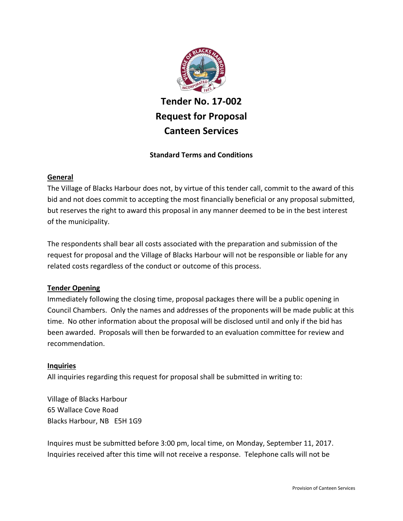

# **Tender No. 17-002 Request for Proposal Canteen Services**

## **Standard Terms and Conditions**

#### **General**

The Village of Blacks Harbour does not, by virtue of this tender call, commit to the award of this bid and not does commit to accepting the most financially beneficial or any proposal submitted, but reserves the right to award this proposal in any manner deemed to be in the best interest of the municipality.

The respondents shall bear all costs associated with the preparation and submission of the request for proposal and the Village of Blacks Harbour will not be responsible or liable for any related costs regardless of the conduct or outcome of this process.

#### **Tender Opening**

Immediately following the closing time, proposal packages there will be a public opening in Council Chambers. Only the names and addresses of the proponents will be made public at this time. No other information about the proposal will be disclosed until and only if the bid has been awarded. Proposals will then be forwarded to an evaluation committee for review and recommendation.

#### **Inquiries**

All inquiries regarding this request for proposal shall be submitted in writing to:

Village of Blacks Harbour 65 Wallace Cove Road Blacks Harbour, NB E5H 1G9

Inquires must be submitted before 3:00 pm, local time, on Monday, September 11, 2017. Inquiries received after this time will not receive a response. Telephone calls will not be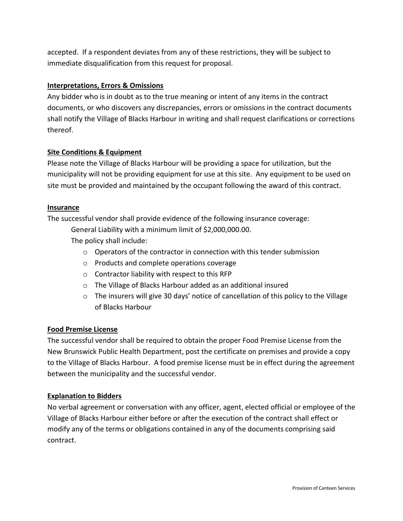accepted. If a respondent deviates from any of these restrictions, they will be subject to immediate disqualification from this request for proposal.

### **Interpretations, Errors & Omissions**

Any bidder who is in doubt as to the true meaning or intent of any items in the contract documents, or who discovers any discrepancies, errors or omissions in the contract documents shall notify the Village of Blacks Harbour in writing and shall request clarifications or corrections thereof.

## **Site Conditions & Equipment**

Please note the Village of Blacks Harbour will be providing a space for utilization, but the municipality will not be providing equipment for use at this site. Any equipment to be used on site must be provided and maintained by the occupant following the award of this contract.

#### **Insurance**

The successful vendor shall provide evidence of the following insurance coverage:

General Liability with a minimum limit of \$2,000,000.00.

The policy shall include:

- $\circ$  Operators of the contractor in connection with this tender submission
- o Products and complete operations coverage
- o Contractor liability with respect to this RFP
- o The Village of Blacks Harbour added as an additional insured
- $\circ$  The insurers will give 30 days' notice of cancellation of this policy to the Village of Blacks Harbour

# **Food Premise License**

The successful vendor shall be required to obtain the proper Food Premise License from the New Brunswick Public Health Department, post the certificate on premises and provide a copy to the Village of Blacks Harbour. A food premise license must be in effect during the agreement between the municipality and the successful vendor.

#### **Explanation to Bidders**

No verbal agreement or conversation with any officer, agent, elected official or employee of the Village of Blacks Harbour either before or after the execution of the contract shall effect or modify any of the terms or obligations contained in any of the documents comprising said contract.